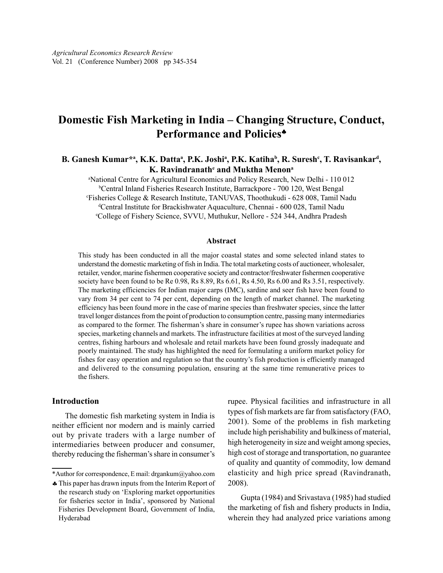# Domestic Fish Marketing in India – Changing Structure, Conduct, Performance and Policies<sup>+</sup>

## B. Ganesh Kumar\*ª, K.K. Dattaª, P.K. Joshiª, P.K. Katihaʰ, R. Suresh¢, T. Ravisankarª, K. Ravindranath $^{\rm e}$  and Muktha Menon $^{\rm a}$

<sup>a</sup>National Centre for Agricultural Economics and Policy Research, New Delhi - 110 012 <sup>b</sup>Central Inland Fisheries Research Institute, Barrackpore - 700 120, West Bengal <sup>c</sup>Fisheries College & Research Institute, TANUVAS, Thoothukudi - 628 008, Tamil Nadu <sup>d</sup>Central Institute for Brackishwater Aquaculture, Chennai - 600 028, Tamil Nadu <sup>e</sup>College of Fishery Science, SVVU, Muthukur, Nellore - 524 344, Andhra Pradesh

#### Abstract

This study has been conducted in all the major coastal states and some selected inland states to understand the domestic marketing of fish in India. The total marketing costs of auctioneer, wholesaler, retailer, vendor, marine fishermen cooperative society and contractor/freshwater fishermen cooperative society have been found to be Re 0.98, Rs 8.89, Rs 6.61, Rs 4.50, Rs 6.00 and Rs 3.51, respectively. The marketing efficiencies for Indian major carps (IMC), sardine and seer fish have been found to vary from 34 per cent to 74 per cent, depending on the length of market channel. The marketing efficiency has been found more in the case of marine species than freshwater species, since the latter travel longer distances from the point of production to consumption centre, passing many intermediaries as compared to the former. The fisherman's share in consumer's rupee has shown variations across species, marketing channels and markets. The infrastructure facilities at most of the surveyed landing centres, fishing harbours and wholesale and retail markets have been found grossly inadequate and poorly maintained. The study has highlighted the need for formulating a uniform market policy for fishes for easy operation and regulation so that the country's fish production is efficiently managed and delivered to the consuming population, ensuring at the same time remunerative prices to the fishers.

## Introduction

The domestic fish marketing system in India is neither efficient nor modern and is mainly carried out by private traders with a large number of intermediaries between producer and consumer, thereby reducing the fisherman's share in consumer's

rupee. Physical facilities and infrastructure in all types of fish markets are far from satisfactory (FAO, 2001). Some of the problems in fish marketing include high perishability and bulkiness of material, high heterogeneity in size and weight among species, high cost of storage and transportation, no guarantee of quality and quantity of commodity, low demand elasticity and high price spread (Ravindranath, 2008).

Gupta (1984) and Srivastava (1985) had studied the marketing of fish and fishery products in India, wherein they had analyzed price variations among

<sup>\*</sup>Author for correspondence, E mail: drgankum@yahoo.com

<sup>♣</sup>This paper has drawn inputs from the Interim Report of the research study on 'Exploring market opportunities for fisheries sector in India', sponsored by National Fisheries Development Board, Government of India, Hyderabad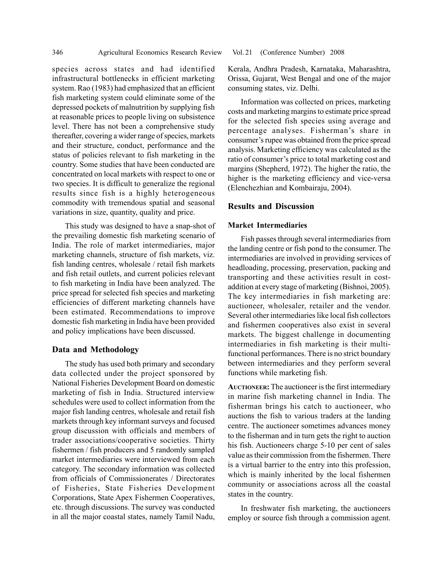species across states and had identified infrastructural bottlenecks in efficient marketing system. Rao (1983) had emphasized that an efficient fish marketing system could eliminate some of the depressed pockets of malnutrition by supplying fish at reasonable prices to people living on subsistence level. There has not been a comprehensive study thereafter, covering a wider range of species, markets and their structure, conduct, performance and the status of policies relevant to fish marketing in the country. Some studies that have been conducted are concentrated on local markets with respect to one or two species. It is difficult to generalize the regional results since fish is a highly heterogeneous commodity with tremendous spatial and seasonal variations in size, quantity, quality and price.

This study was designed to have a snap-shot of the prevailing domestic fish marketing scenario of India. The role of market intermediaries, major marketing channels, structure of fish markets, viz. fish landing centres, wholesale / retail fish markets and fish retail outlets, and current policies relevant to fish marketing in India have been analyzed. The price spread for selected fish species and marketing efficiencies of different marketing channels have been estimated. Recommendations to improve domestic fish marketing in India have been provided and policy implications have been discussed.

## Data and Methodology

The study has used both primary and secondary data collected under the project sponsored by National Fisheries Development Board on domestic marketing of fish in India. Structured interview schedules were used to collect information from the major fish landing centres, wholesale and retail fish markets through key informant surveys and focused group discussion with officials and members of trader associations/cooperative societies. Thirty fishermen / fish producers and 5 randomly sampled market intermediaries were interviewed from each category. The secondary information was collected from officials of Commissionerates / Directorates of Fisheries, State Fisheries Development Corporations, State Apex Fishermen Cooperatives, etc. through discussions. The survey was conducted in all the major coastal states, namely Tamil Nadu,

Kerala, Andhra Pradesh, Karnataka, Maharashtra, Orissa, Gujarat, West Bengal and one of the major consuming states, viz. Delhi.

Information was collected on prices, marketing costs and marketing margins to estimate price spread for the selected fish species using average and percentage analyses. Fisherman's share in consumer's rupee was obtained from the price spread analysis. Marketing efficiency was calculated as the ratio of consumer's price to total marketing cost and margins (Shepherd, 1972). The higher the ratio, the higher is the marketing efficiency and vice-versa (Elenchezhian and Kombairaju, 2004).

## Results and Discussion

#### Market Intermediaries

Fish passes through several intermediaries from the landing centre or fish pond to the consumer. The intermediaries are involved in providing services of headloading, processing, preservation, packing and transporting and these activities result in costaddition at every stage of marketing (Bishnoi, 2005). The key intermediaries in fish marketing are: auctioneer, wholesaler, retailer and the vendor. Several other intermediaries like local fish collectors and fishermen cooperatives also exist in several markets. The biggest challenge in documenting intermediaries in fish marketing is their multifunctional performances. There is no strict boundary between intermediaries and they perform several functions while marketing fish.

AUCTIONEER: The auctioneer is the first intermediary in marine fish marketing channel in India. The fisherman brings his catch to auctioneer, who auctions the fish to various traders at the landing centre. The auctioneer sometimes advances money to the fisherman and in turn gets the right to auction his fish. Auctioneers charge 5-10 per cent of sales value as their commission from the fishermen. There is a virtual barrier to the entry into this profession, which is mainly inherited by the local fishermen community or associations across all the coastal states in the country.

In freshwater fish marketing, the auctioneers employ or source fish through a commission agent.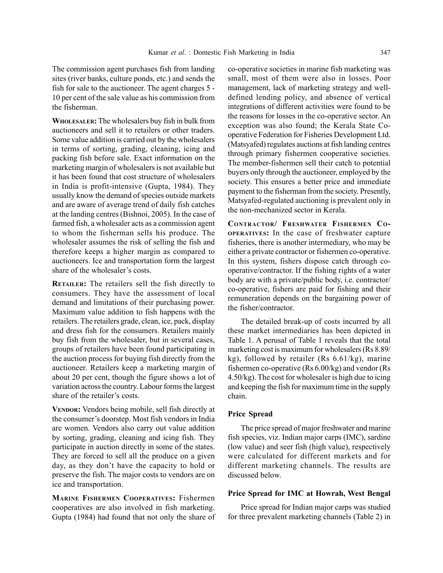The commission agent purchases fish from landing sites (river banks, culture ponds, etc.) and sends the fish for sale to the auctioneer. The agent charges 5 - 10 per cent of the sale value as his commission from the fisherman.

WHOLESALER: The wholesalers buy fish in bulk from auctioneers and sell it to retailers or other traders. Some value addition is carried out by the wholesalers in terms of sorting, grading, cleaning, icing and packing fish before sale. Exact information on the marketing margin of wholesalers is not available but it has been found that cost structure of wholesalers in India is profit-intensive (Gupta, 1984). They usually know the demand of species outside markets and are aware of average trend of daily fish catches at the landing centres (Bishnoi, 2005). In the case of farmed fish, a wholesaler acts as a commission agent to whom the fisherman sells his produce. The wholesaler assumes the risk of selling the fish and therefore keeps a higher margin as compared to auctioneers. Ice and transportation form the largest share of the wholesaler's costs.

RETAILER: The retailers sell the fish directly to consumers. They have the assessment of local demand and limitations of their purchasing power. Maximum value addition to fish happens with the retailers. The retailers grade, clean, ice, pack, display and dress fish for the consumers. Retailers mainly buy fish from the wholesaler, but in several cases, groups of retailers have been found participating in the auction process for buying fish directly from the auctioneer. Retailers keep a marketing margin of about 20 per cent, though the figure shows a lot of variation across the country. Labour forms the largest share of the retailer's costs.

VENDOR: Vendors being mobile, sell fish directly at the consumer's doorstep. Most fish vendors in India are women. Vendors also carry out value addition by sorting, grading, cleaning and icing fish. They participate in auction directly in some of the states. They are forced to sell all the produce on a given day, as they don't have the capacity to hold or preserve the fish. The major costs to vendors are on ice and transportation.

MARINE FISHERMEN COOPERATIVES: Fishermen cooperatives are also involved in fish marketing. Gupta (1984) had found that not only the share of co-operative societies in marine fish marketing was small, most of them were also in losses. Poor management, lack of marketing strategy and welldefined lending policy, and absence of vertical integrations of different activities were found to be the reasons for losses in the co-operative sector. An exception was also found; the Kerala State Cooperative Federation for Fisheries Development Ltd. (Matsyafed) regulates auctions at fish landing centres through primary fishermen cooperative societies. The member-fishermen sell their catch to potential buyers only through the auctioneer, employed by the society. This ensures a better price and immediate payment to the fisherman from the society. Presently, Matsyafed-regulated auctioning is prevalent only in the non-mechanized sector in Kerala.

CONTRACTOR/ FRESHWATER FISHERMEN CO-OPERATIVES: In the case of freshwater capture fisheries, there is another intermediary, who may be either a private contractor or fishermen co-operative. In this system, fishers dispose catch through cooperative/contractor. If the fishing rights of a water body are with a private/public body, i.e. contractor/ co-operative, fishers are paid for fishing and their remuneration depends on the bargaining power of the fisher/contractor.

The detailed break-up of costs incurred by all these market intermediaries has been depicted in Table 1. A perusal of Table 1 reveals that the total marketing cost is maximum for wholesalers (Rs 8.89/ kg), followed by retailer (Rs 6.61/kg), marine fishermen co-operative (Rs 6.00/kg) and vendor (Rs 4.50/kg). The cost for wholesaler is high due to icing and keeping the fish for maximum time in the supply chain.

### Price Spread

The price spread of major freshwater and marine fish species, viz. Indian major carps (IMC), sardine (low value) and seer fish (high value), respectively were calculated for different markets and for different marketing channels. The results are discussed below.

### Price Spread for IMC at Howrah, West Bengal

Price spread for Indian major carps was studied for three prevalent marketing channels (Table 2) in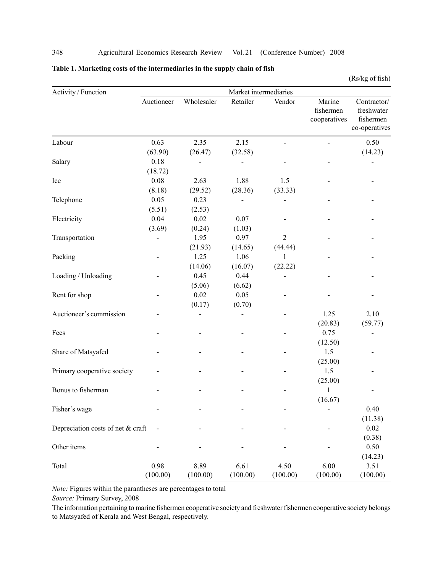## 348 Agricultural Economics Research Review Vol. 21 (Conference Number) 2008

## Table 1. Marketing costs of the intermediaries in the supply chain of fish

(Rs/kg of fish)

| Activity / Function               | Market intermediaries |            |          |                |                                     |                                                         |  |  |  |
|-----------------------------------|-----------------------|------------|----------|----------------|-------------------------------------|---------------------------------------------------------|--|--|--|
|                                   | Auctioneer            | Wholesaler | Retailer | Vendor         | Marine<br>fishermen<br>cooperatives | Contractor/<br>freshwater<br>fishermen<br>co-operatives |  |  |  |
| Labour                            | 0.63                  | 2.35       | 2.15     | $\overline{a}$ |                                     | 0.50                                                    |  |  |  |
|                                   | (63.90)               | (26.47)    | (32.58)  |                |                                     | (14.23)                                                 |  |  |  |
| Salary                            | 0.18                  |            |          |                |                                     |                                                         |  |  |  |
|                                   | (18.72)               |            |          |                |                                     |                                                         |  |  |  |
| Ice                               | 0.08                  | 2.63       | 1.88     | 1.5            |                                     |                                                         |  |  |  |
|                                   | (8.18)                | (29.52)    | (28.36)  | (33.33)        |                                     |                                                         |  |  |  |
| Telephone                         | 0.05                  | 0.23       |          |                |                                     |                                                         |  |  |  |
|                                   | (5.51)                | (2.53)     |          |                |                                     |                                                         |  |  |  |
| Electricity                       | 0.04                  | 0.02       | 0.07     |                |                                     |                                                         |  |  |  |
|                                   | (3.69)                | (0.24)     | (1.03)   |                |                                     |                                                         |  |  |  |
| Transportation                    |                       | 1.95       | 0.97     | $\overline{2}$ |                                     |                                                         |  |  |  |
|                                   |                       | (21.93)    | (14.65)  | (44.44)        |                                     |                                                         |  |  |  |
| Packing                           |                       | 1.25       | 1.06     | 1              |                                     |                                                         |  |  |  |
|                                   |                       | (14.06)    | (16.07)  | (22.22)        |                                     |                                                         |  |  |  |
| Loading / Unloading               |                       | 0.45       | 0.44     |                |                                     |                                                         |  |  |  |
|                                   |                       | (5.06)     | (6.62)   |                |                                     |                                                         |  |  |  |
| Rent for shop                     |                       | 0.02       | 0.05     |                |                                     |                                                         |  |  |  |
|                                   |                       | (0.17)     | (0.70)   |                |                                     |                                                         |  |  |  |
| Auctioneer's commission           |                       |            |          |                | 1.25                                | 2.10                                                    |  |  |  |
|                                   |                       |            |          |                | (20.83)                             | (59.77)                                                 |  |  |  |
| Fees                              |                       |            |          |                | 0.75                                |                                                         |  |  |  |
|                                   |                       |            |          |                | (12.50)                             |                                                         |  |  |  |
| Share of Matsyafed                |                       |            |          |                | 1.5                                 |                                                         |  |  |  |
|                                   |                       |            |          |                | (25.00)                             |                                                         |  |  |  |
| Primary cooperative society       |                       |            |          |                | 1.5                                 |                                                         |  |  |  |
|                                   |                       |            |          |                | (25.00)                             |                                                         |  |  |  |
| Bonus to fisherman                |                       |            |          |                | 1                                   |                                                         |  |  |  |
|                                   |                       |            |          |                | (16.67)                             |                                                         |  |  |  |
| Fisher's wage                     |                       |            |          |                |                                     | 0.40                                                    |  |  |  |
|                                   |                       |            |          |                |                                     | (11.38)                                                 |  |  |  |
| Depreciation costs of net & craft |                       |            |          |                |                                     | 0.02                                                    |  |  |  |
|                                   |                       |            |          |                |                                     | (0.38)                                                  |  |  |  |
| Other items                       |                       |            |          |                |                                     | 0.50                                                    |  |  |  |
|                                   |                       |            |          |                |                                     | (14.23)                                                 |  |  |  |
| Total                             | 0.98                  | 8.89       | 6.61     | 4.50           | 6.00                                | 3.51                                                    |  |  |  |
|                                   | (100.00)              | (100.00)   | (100.00) | (100.00)       | (100.00)                            | (100.00)                                                |  |  |  |

Note: Figures within the parantheses are percentages to total

Source: Primary Survey, 2008

The information pertaining to marine fishermen cooperative society and freshwater fishermen cooperative society belongs to Matsyafed of Kerala and West Bengal, respectively.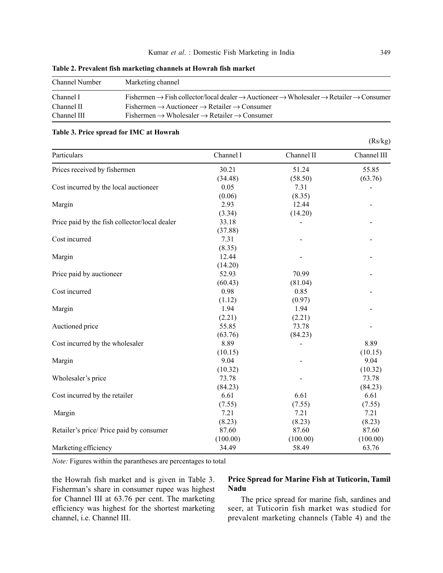| Channel Number | Marketing channel                                                                                                                                   |
|----------------|-----------------------------------------------------------------------------------------------------------------------------------------------------|
| Channel I      | Fishermen $\rightarrow$ Fish collector/local dealer $\rightarrow$ Auctioneer $\rightarrow$ Wholesaler $\rightarrow$ Retailer $\rightarrow$ Consumer |
| Channel II     | $Fishermen \rightarrow Auctioneer \rightarrow Retailer \rightarrow Consumer$                                                                        |
| Channel III    | Fishermen $\rightarrow$ Wholesaler $\rightarrow$ Retailer $\rightarrow$ Consumer                                                                    |

### Table 2. Prevalent fish marketing channels at Howrah fish market

#### Table 3. Price spread for IMC at Howrah

| Particulars                                   | Channel I | Channel II | Channel III |
|-----------------------------------------------|-----------|------------|-------------|
| Prices received by fishermen                  | 30.21     | 51.24      | 55.85       |
|                                               | (34.48)   | (58.50)    | (63.76)     |
| Cost incurred by the local auctioneer         | 0.05      | 7.31       |             |
|                                               | (0.06)    | (8.35)     |             |
| Margin                                        | 2.93      | 12.44      |             |
|                                               | (3.34)    | (14.20)    |             |
| Price paid by the fish collector/local dealer | 33.18     |            |             |
|                                               | (37.88)   |            |             |
| Cost incurred                                 | 7.31      |            |             |
|                                               | (8.35)    |            |             |
| Margin                                        | 12.44     |            |             |
|                                               | (14.20)   |            |             |
| Price paid by auctioneer                      | 52.93     | 70.99      |             |
|                                               | (60.43)   | (81.04)    |             |
| Cost incurred                                 | 0.98      | 0.85       |             |
|                                               | (1.12)    | (0.97)     |             |
| Margin                                        | 1.94      | 1.94       |             |
|                                               | (2.21)    | (2.21)     |             |
| Auctioned price                               | 55.85     | 73.78      |             |
|                                               | (63.76)   | (84.23)    |             |
| Cost incurred by the wholesaler               | 8.89      |            | 8.89        |
|                                               | (10.15)   |            | (10.15)     |
| Margin                                        | 9.04      |            | 9.04        |
|                                               | (10.32)   |            | (10.32)     |
| Wholesaler's price                            | 73.78     |            | 73.78       |
|                                               | (84.23)   |            | (84.23)     |
| Cost incurred by the retailer                 | 6.61      | 6.61       | 6.61        |
|                                               | (7.55)    | (7.55)     | (7.55)      |
| Margin                                        | 7.21      | 7.21       | 7.21        |
|                                               | (8.23)    | (8.23)     | (8.23)      |
| Retailer's price/ Price paid by consumer      | 87.60     | 87.60      | 87.60       |
|                                               | (100.00)  | (100.00)   | (100.00)    |
| Marketing efficiency                          | 34.49     | 58.49      | 63.76       |

Note: Figures within the parantheses are percentages to total

the Howrah fish market and is given in Table 3. Fisherman's share in consumer rupee was highest for Channel III at 63.76 per cent. The marketing efficiency was highest for the shortest marketing channel, i.e. Channel III.

## Price Spread for Marine Fish at Tuticorin, Tamil Nadu

The price spread for marine fish, sardines and seer, at Tuticorin fish market was studied for prevalent marketing channels (Table 4) and the

(Rs/kg)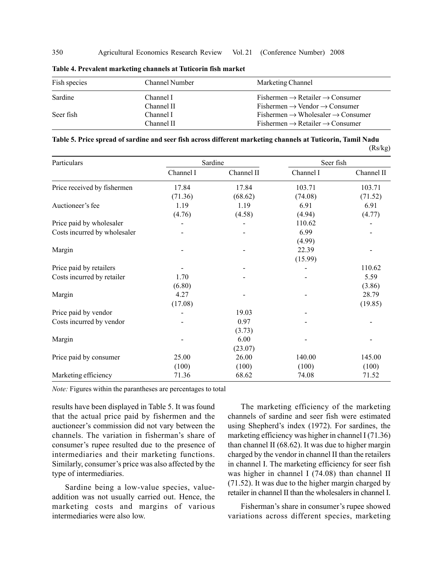| Fish species | Channel Number | Marketing Channel                                       |
|--------------|----------------|---------------------------------------------------------|
| Sardine      | Channel I      | $Fishermen \rightarrow Retailer \rightarrow Consumer$   |
|              | Channel II     | $Fishermen \rightarrow Vendor \rightarrow Consumer$     |
| Seer fish    | Channel I      | $Fishermen \rightarrow Wholesaler \rightarrow Consumer$ |
|              | Channel II     | $Fishermen \rightarrow Retailer \rightarrow Consumer$   |

Table 4. Prevalent marketing channels at Tuticorin fish market

| Table 5. Price spread of sardine and seer fish across different marketing channels at Tuticorin, Tamil Nadu |         |
|-------------------------------------------------------------------------------------------------------------|---------|
|                                                                                                             | (Rs/kg) |

| Particulars                  |           | Sardine    | Seer fish |            |  |
|------------------------------|-----------|------------|-----------|------------|--|
|                              | Channel I | Channel II | Channel I | Channel II |  |
| Price received by fishermen  | 17.84     | 17.84      | 103.71    | 103.71     |  |
|                              | (71.36)   | (68.62)    | (74.08)   | (71.52)    |  |
| Auctioneer's fee             | 1.19      | 1.19       | 6.91      | 6.91       |  |
|                              | (4.76)    | (4.58)     | (4.94)    | (4.77)     |  |
| Price paid by wholesaler     |           |            | 110.62    |            |  |
| Costs incurred by wholesaler |           |            | 6.99      |            |  |
|                              |           |            | (4.99)    |            |  |
| Margin                       |           |            | 22.39     |            |  |
|                              |           |            | (15.99)   |            |  |
| Price paid by retailers      |           |            |           | 110.62     |  |
| Costs incurred by retailer   | 1.70      |            |           | 5.59       |  |
|                              | (6.80)    |            |           | (3.86)     |  |
| Margin                       | 4.27      |            |           | 28.79      |  |
|                              | (17.08)   |            |           | (19.85)    |  |
| Price paid by vendor         |           | 19.03      |           |            |  |
| Costs incurred by vendor     |           | 0.97       |           |            |  |
|                              |           | (3.73)     |           |            |  |
| Margin                       |           | 6.00       |           |            |  |
|                              |           | (23.07)    |           |            |  |
| Price paid by consumer       | 25.00     | 26.00      | 140.00    | 145.00     |  |
|                              | (100)     | (100)      | (100)     | (100)      |  |
| Marketing efficiency         | 71.36     | 68.62      | 74.08     | 71.52      |  |

Note: Figures within the parantheses are percentages to total

results have been displayed in Table 5. It was found that the actual price paid by fishermen and the auctioneer's commission did not vary between the channels. The variation in fisherman's share of consumer's rupee resulted due to the presence of intermediaries and their marketing functions. Similarly, consumer's price was also affected by the type of intermediaries.

Sardine being a low-value species, valueaddition was not usually carried out. Hence, the marketing costs and margins of various intermediaries were also low.

The marketing efficiency of the marketing channels of sardine and seer fish were estimated using Shepherd's index (1972). For sardines, the marketing efficiency was higher in channel I (71.36) than channel II (68.62). It was due to higher margin charged by the vendor in channel II than the retailers in channel I. The marketing efficiency for seer fish was higher in channel I (74.08) than channel II (71.52). It was due to the higher margin charged by retailer in channel II than the wholesalers in channel I.

Fisherman's share in consumer's rupee showed variations across different species, marketing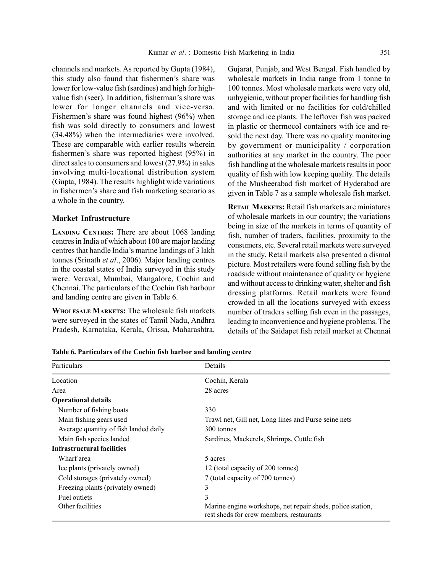channels and markets. As reported by Gupta (1984), this study also found that fishermen's share was lower for low-value fish (sardines) and high for highvalue fish (seer). In addition, fisherman's share was lower for longer channels and vice-versa. Fishermen's share was found highest (96%) when fish was sold directly to consumers and lowest (34.48%) when the intermediaries were involved. These are comparable with earlier results wherein fishermen's share was reported highest (95%) in direct sales to consumers and lowest (27.9%) in sales involving multi-locational distribution system (Gupta, 1984). The results highlight wide variations in fishermen's share and fish marketing scenario as a whole in the country.

#### Market Infrastructure

LANDING CENTRES: There are about 1068 landing centres in India of which about 100 are major landing centres that handle India's marine landings of 3 lakh tonnes (Srinath et al., 2006). Major landing centres in the coastal states of India surveyed in this study were: Veraval, Mumbai, Mangalore, Cochin and Chennai. The particulars of the Cochin fish harbour and landing centre are given in Table 6.

WHOLESALE MARKETS: The wholesale fish markets were surveyed in the states of Tamil Nadu, Andhra Pradesh, Karnataka, Kerala, Orissa, Maharashtra, Gujarat, Punjab, and West Bengal. Fish handled by wholesale markets in India range from 1 tonne to 100 tonnes. Most wholesale markets were very old, unhygienic, without proper facilities for handling fish and with limited or no facilities for cold/chilled storage and ice plants. The leftover fish was packed in plastic or thermocol containers with ice and resold the next day. There was no quality monitoring by government or municipality / corporation authorities at any market in the country. The poor fish handling at the wholesale markets results in poor quality of fish with low keeping quality. The details of the Musheerabad fish market of Hyderabad are given in Table 7 as a sample wholesale fish market.

RETAIL MARKETS: Retail fish markets are miniatures of wholesale markets in our country; the variations being in size of the markets in terms of quantity of fish, number of traders, facilities, proximity to the consumers, etc. Several retail markets were surveyed in the study. Retail markets also presented a dismal picture. Most retailers were found selling fish by the roadside without maintenance of quality or hygiene and without access to drinking water, shelter and fish dressing platforms. Retail markets were found crowded in all the locations surveyed with excess number of traders selling fish even in the passages, leading to inconvenience and hygiene problems. The details of the Saidapet fish retail market at Chennai

| Particulars                           | Details                                                                                                |  |  |
|---------------------------------------|--------------------------------------------------------------------------------------------------------|--|--|
| Location                              | Cochin, Kerala                                                                                         |  |  |
| Area                                  | 28 acres                                                                                               |  |  |
| <b>Operational details</b>            |                                                                                                        |  |  |
| Number of fishing boats               | 330                                                                                                    |  |  |
| Main fishing gears used               | Trawl net, Gill net, Long lines and Purse seine nets                                                   |  |  |
| Average quantity of fish landed daily | 300 tonnes                                                                                             |  |  |
| Main fish species landed              | Sardines, Mackerels, Shrimps, Cuttle fish                                                              |  |  |
| Infrastructural facilities            |                                                                                                        |  |  |
| Wharf area                            | 5 acres                                                                                                |  |  |
| Ice plants (privately owned)          | 12 (total capacity of 200 tonnes)                                                                      |  |  |
| Cold storages (privately owned)       | 7 (total capacity of 700 tonnes)                                                                       |  |  |
| Freezing plants (privately owned)     | 3                                                                                                      |  |  |
| Fuel outlets                          | 3                                                                                                      |  |  |
| Other facilities                      | Marine engine workshops, net repair sheds, police station,<br>rest sheds for crew members, restaurants |  |  |

Table 6. Particulars of the Cochin fish harbor and landing centre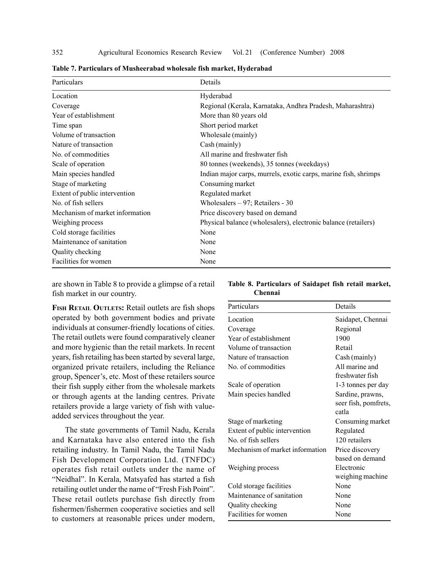| Particulars                     | Details                                                         |
|---------------------------------|-----------------------------------------------------------------|
| Location                        | Hyderabad                                                       |
| Coverage                        | Regional (Kerala, Karnataka, Andhra Pradesh, Maharashtra)       |
| Year of establishment           | More than 80 years old                                          |
| Time span                       | Short period market                                             |
| Volume of transaction           | Wholesale (mainly)                                              |
| Nature of transaction           | Cash (mainly)                                                   |
| No. of commodities              | All marine and freshwater fish                                  |
| Scale of operation              | 80 tonnes (weekends), 35 tonnes (weekdays)                      |
| Main species handled            | Indian major carps, murrels, exotic carps, marine fish, shrimps |
| Stage of marketing              | Consuming market                                                |
| Extent of public intervention   | Regulated market                                                |
| No. of fish sellers             | Wholesalers - 97; Retailers - 30                                |
| Mechanism of market information | Price discovery based on demand                                 |
| Weighing process                | Physical balance (wholesalers), electronic balance (retailers)  |
| Cold storage facilities         | None                                                            |
| Maintenance of sanitation       | None                                                            |
| Quality checking                | None                                                            |
| Facilities for women            | None                                                            |

Table 7. Particulars of Musheerabad wholesale fish market, Hyderabad

are shown in Table 8 to provide a glimpse of a retail fish market in our country.

FISH RETAIL OUTLETS: Retail outlets are fish shops operated by both government bodies and private individuals at consumer-friendly locations of cities. The retail outlets were found comparatively cleaner and more hygienic than the retail markets. In recent years, fish retailing has been started by several large, organized private retailers, including the Reliance group, Spencer's, etc. Most of these retailers source their fish supply either from the wholesale markets or through agents at the landing centres. Private retailers provide a large variety of fish with valueadded services throughout the year.

The state governments of Tamil Nadu, Kerala and Karnataka have also entered into the fish retailing industry. In Tamil Nadu, the Tamil Nadu Fish Development Corporation Ltd. (TNFDC) operates fish retail outlets under the name of "Neidhal". In Kerala, Matsyafed has started a fish retailing outlet under the name of "Fresh Fish Point". These retail outlets purchase fish directly from fishermen/fishermen cooperative societies and sell to customers at reasonable prices under modern,

| Table 8. Particulars of Saidapet fish retail market, |  |  |  |
|------------------------------------------------------|--|--|--|
| <b>Chennai</b>                                       |  |  |  |

| Particulars                     | Details              |
|---------------------------------|----------------------|
| Location                        | Saidapet, Chennai    |
| Coverage                        | Regional             |
| Year of establishment           | 1900                 |
| Volume of transaction           | Retail               |
| Nature of transaction           | Cash (mainly)        |
| No. of commodities              | All marine and       |
|                                 | freshwater fish      |
| Scale of operation              | 1-3 tonnes per day   |
| Main species handled            | Sardine, prawns,     |
|                                 | seer fish, pomfrets, |
|                                 | catla                |
| Stage of marketing              | Consuming market     |
| Extent of public intervention   | Regulated            |
| No. of fish sellers             | 120 retailers        |
| Mechanism of market information | Price discovery      |
|                                 | based on demand      |
| Weighing process                | Electronic           |
|                                 | weighing machine     |
| Cold storage facilities         | None                 |
| Maintenance of sanitation       | None                 |
| Quality checking                | None                 |
| Facilities for women            | None                 |
|                                 |                      |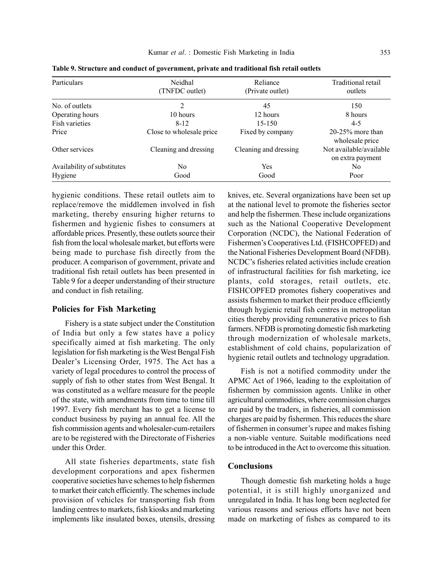| <b>Particulars</b>          | Neidhal<br>(TNFDC outlet) | Reliance<br>(Private outlet) | Traditional retail<br>outlets               |
|-----------------------------|---------------------------|------------------------------|---------------------------------------------|
| No. of outlets              | 2                         | 45                           | 150                                         |
| Operating hours             | 10 hours                  | 12 hours                     | 8 hours                                     |
| Fish varieties              | $8 - 12$                  | $15 - 150$                   | $4-5$                                       |
| Price                       | Close to wholesale price  | Fixed by company             | $20-25%$ more than<br>wholesale price       |
| Other services              | Cleaning and dressing     | Cleaning and dressing        | Not available/available<br>on extra payment |
| Availability of substitutes | N <sub>0</sub>            | <b>Yes</b>                   | No.                                         |
| Hygiene                     | Good                      | Good                         | Poor                                        |

Table 9. Structure and conduct of government, private and traditional fish retail outlets

hygienic conditions. These retail outlets aim to replace/remove the middlemen involved in fish marketing, thereby ensuring higher returns to fishermen and hygienic fishes to consumers at affordable prices. Presently, these outlets source their fish from the local wholesale market, but efforts were being made to purchase fish directly from the producer. A comparison of government, private and traditional fish retail outlets has been presented in Table 9 for a deeper understanding of their structure and conduct in fish retailing.

#### Policies for Fish Marketing

Fishery is a state subject under the Constitution of India but only a few states have a policy specifically aimed at fish marketing. The only legislation for fish marketing is the West Bengal Fish Dealer's Licensing Order, 1975. The Act has a variety of legal procedures to control the process of supply of fish to other states from West Bengal. It was constituted as a welfare measure for the people of the state, with amendments from time to time till 1997. Every fish merchant has to get a license to conduct business by paying an annual fee. All the fish commission agents and wholesaler-cum-retailers are to be registered with the Directorate of Fisheries under this Order.

All state fisheries departments, state fish development corporations and apex fishermen cooperative societies have schemes to help fishermen to market their catch efficiently. The schemes include provision of vehicles for transporting fish from landing centres to markets, fish kiosks and marketing implements like insulated boxes, utensils, dressing knives, etc. Several organizations have been set up at the national level to promote the fisheries sector and help the fishermen. These include organizations such as the National Cooperative Development Corporation (NCDC), the National Federation of Fishermen's Cooperatives Ltd. (FISHCOPFED) and the National Fisheries Development Board (NFDB). NCDC's fisheries related activities include creation of infrastructural facilities for fish marketing, ice plants, cold storages, retail outlets, etc. FISHCOPFED promotes fishery cooperatives and assists fishermen to market their produce efficiently through hygienic retail fish centres in metropolitan cities thereby providing remunerative prices to fish farmers. NFDB is promoting domestic fish marketing through modernization of wholesale markets, establishment of cold chains, popularization of hygienic retail outlets and technology upgradation.

Fish is not a notified commodity under the APMC Act of 1966, leading to the exploitation of fishermen by commission agents. Unlike in other agricultural commodities, where commission charges are paid by the traders, in fisheries, all commission charges are paid by fishermen. This reduces the share of fishermen in consumer's rupee and makes fishing a non-viable venture. Suitable modifications need to be introduced in the Act to overcome this situation.

## Conclusions

Though domestic fish marketing holds a huge potential, it is still highly unorganized and unregulated in India. It has long been neglected for various reasons and serious efforts have not been made on marketing of fishes as compared to its